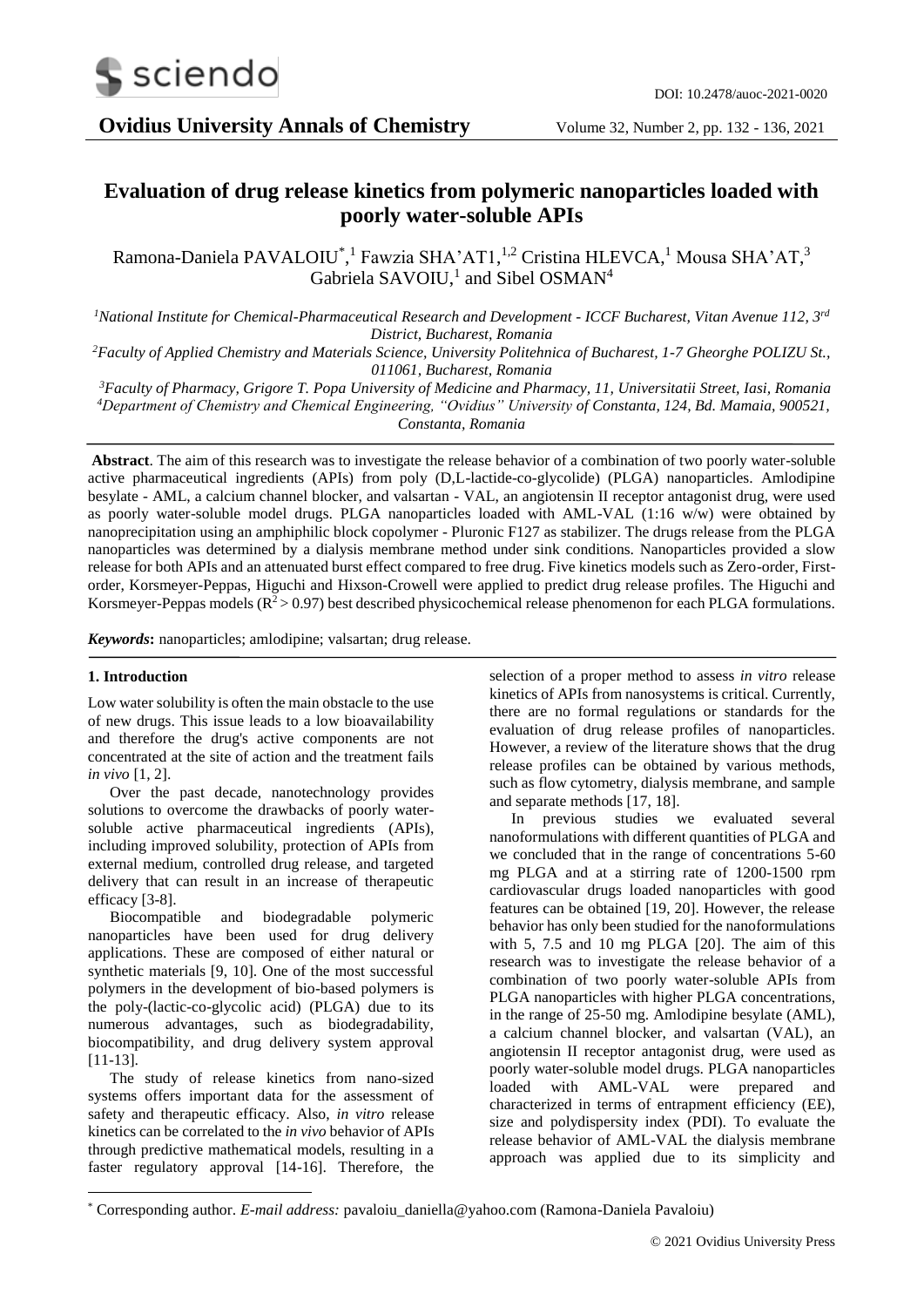

**Ovidius University Annals of Chemistry** Volume 32, Number 2, pp. 132 - 136, 2021

# **Evaluation of drug release kinetics from polymeric nanoparticles loaded with poorly water-soluble APIs**

Ramona-Daniela PAVALOIU<sup>\*</sup>,<sup>1</sup> Fawzia SHA'AT1,<sup>1,2</sup> Cristina HLEVCA,<sup>1</sup> Mousa SHA'AT,<sup>3</sup> Gabriela SAVOIU,<sup>1</sup> and Sibel OSMAN<sup>4</sup>

*<sup>1</sup>National Institute for Chemical-Pharmaceutical Research and Development - ICCF Bucharest, Vitan Avenue 112, 3rd District, Bucharest, Romania*

*<sup>2</sup>Faculty of Applied Chemistry and Materials Science, University Politehnica of Bucharest, 1-7 Gheorghe POLIZU St., 011061, Bucharest, Romania*

*<sup>3</sup>Faculty of Pharmacy, Grigore T. Popa University of Medicine and Pharmacy, 11, Universitatii Street, Iasi, Romania <sup>4</sup>Department of Chemistry and Chemical Engineering, "Ovidius" University of Constanta, 124, Bd. Mamaia, 900521, Constanta, Romania*

**Abstract**. The aim of this research was to investigate the release behavior of a combination of two poorly water-soluble active pharmaceutical ingredients (APIs) from poly (D,L-lactide-co-glycolide) (PLGA) nanoparticles. Amlodipine besylate - AML, a calcium channel blocker, and valsartan - VAL, an angiotensin II receptor antagonist drug, were used as poorly water-soluble model drugs. PLGA nanoparticles loaded with AML-VAL (1:16 w/w) were obtained by nanoprecipitation using an amphiphilic block copolymer - Pluronic F127 as stabilizer. The drugs release from the PLGA nanoparticles was determined by a dialysis membrane method under sink conditions. Nanoparticles provided a slow release for both APIs and an attenuated burst effect compared to free drug. Five kinetics models such as Zero-order, Firstorder, Korsmeyer-Peppas, Higuchi and Hixson-Crowell were applied to predict drug release profiles. The Higuchi and Korsmeyer-Peppas models ( $R^2$  > 0.97) best described physicochemical release phenomenon for each PLGA formulations.

*Keywords***:** nanoparticles; amlodipine; valsartan; drug release.

#### **1. Introduction**

-

Low water solubility is often the main obstacle to the use of new drugs. This issue leads to a low bioavailability and therefore the drug's active components are not concentrated at the site of action and the treatment fails *in vivo* [1, 2].

Over the past decade, nanotechnology provides solutions to overcome the drawbacks of poorly watersoluble active pharmaceutical ingredients (APIs), including improved solubility, protection of APIs from external medium, controlled drug release, and targeted delivery that can result in an increase of therapeutic efficacy [\[3-](https://www.ncbi.nlm.nih.gov/pmc/articles/PMC7465254/#B1-pharmaceutics-12-00732)8].

Biocompatible and biodegradable polymeric nanoparticles have been used for drug delivery applications. These are composed of either natural or synthetic materials [9, 10]. One of the most successful polymers in the development of bio-based polymers is the poly-(lactic-co-glycolic acid) (PLGA) due to its numerous advantages, such as biodegradability, biocompatibility, and drug delivery system approval [\[11](https://www.ncbi.nlm.nih.gov/pmc/articles/PMC7465254/#B1-pharmaceutics-12-00732)-13].

The study of release kinetics from nano-sized systems offers important data for the assessment of safety and therapeutic efficacy. Also, *in vitro* release kinetics can be correlated to the *in vivo* behavior of APIs through predictive mathematical models, resulting in a faster regulatory approval [14-16]. Therefore, the

selection of a proper method to assess *in vitro* release kinetics of APIs from nanosystems is critical. Currently, there are no formal regulations or standards for the evaluation of drug release profiles of nanoparticles. However, a review of the literature shows that the drug release profiles can be obtained by various methods, such as flow cytometry, dialysis membrane, and sample and separate methods [17, 18].

In previous studies we evaluated several nanoformulations with different quantities of PLGA and we concluded that in the range of concentrations 5-60 mg PLGA and at a stirring rate of 1200-1500 rpm cardiovascular drugs loaded nanoparticles with good features can be obtained [19, 20]. However, the release behavior has only been studied for the nanoformulations with 5, 7.5 and 10 mg PLGA [20]. The aim of this research was to investigate the release behavior of a combination of two poorly water-soluble APIs from PLGA nanoparticles with higher PLGA concentrations, in the range of 25-50 mg. Amlodipine besylate (AML), a calcium channel blocker, and valsartan (VAL), an angiotensin II receptor antagonist drug, were used as poorly water-soluble model drugs. PLGA nanoparticles loaded with AML-VAL were prepared and characterized in terms of entrapment efficiency (EE), size and polydispersity index (PDI). To evaluate the release behavior of AML-VAL the dialysis membrane approach was applied due to its simplicity and

<sup>\*</sup> Corresponding author. *E-mail address:* pavaloiu\_daniella@yahoo.com (Ramona-Daniela Pavaloiu)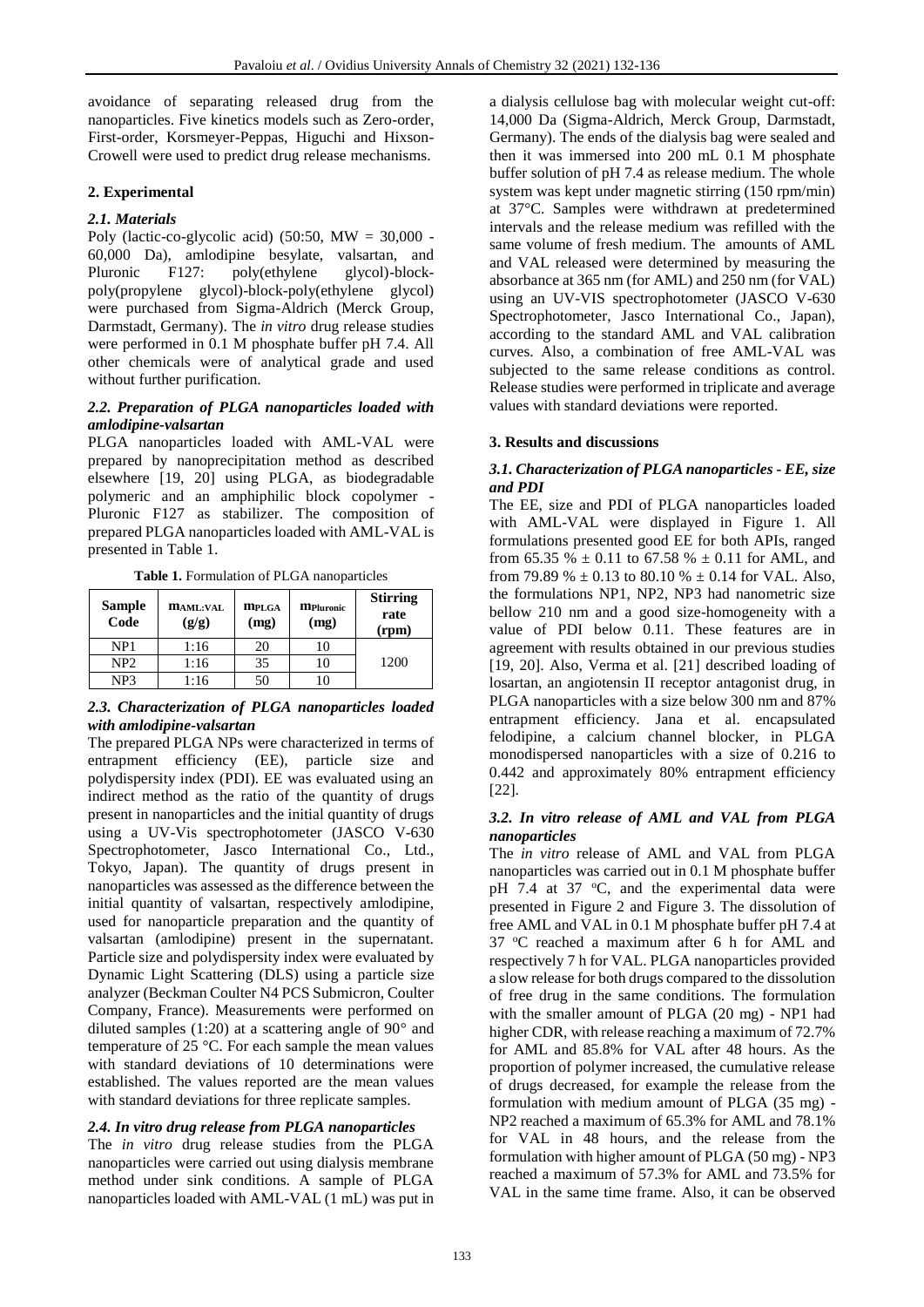avoidance of separating released drug from the nanoparticles. Five kinetics models such as Zero-order, First-order, Korsmeyer-Peppas, Higuchi and Hixson-Crowell were used to predict drug release mechanisms.

# **2. Experimental**

## *2.1. Materials*

Poly (lactic-co-glycolic acid) (50:50,  $MW = 30,000$  -60,000 Da), amlodipine besylate, valsartan, and Pluronic F127: poly(ethylene glycol)-blockpoly(propylene glycol)-block-poly(ethylene glycol) were purchased from Sigma-Aldrich (Merck Group, Darmstadt, Germany). The *in vitro* drug release studies were performed in 0.1 M phosphate buffer pH 7.4. All other chemicals were of analytical grade and used without further purification.

### *2.2. Preparation of PLGA nanoparticles loaded with amlodipine-valsartan*

PLGA nanoparticles loaded with AML-VAL were prepared by nanoprecipitation method as described elsewhere [19, 20] using PLGA, as biodegradable polymeric and an amphiphilic block copolymer - Pluronic F127 as stabilizer. The composition of prepared PLGA nanoparticles loaded with AML-VAL is presented in Table 1.

**Table 1.** Formulation of PLGA nanoparticles

| <b>Sample</b><br>Code | <b>MAML:VAL</b><br>(g/g) | <b>MPLGA</b><br>(mg) | <b>MPluronic</b><br>(mg) | <b>Stirring</b><br>rate<br>(rpm) |
|-----------------------|--------------------------|----------------------|--------------------------|----------------------------------|
| NP1                   | 1:16                     | 20                   | 10                       |                                  |
| NP <sub>2</sub>       | 1:16                     | 35                   |                          | 1200                             |
| NP <sub>3</sub>       | 1:16                     | 50                   |                          |                                  |

### *2.3. Characterization of PLGA nanoparticles loaded with amlodipine-valsartan*

The prepared PLGA NPs were characterized in terms of entrapment efficiency (EE), particle size and polydispersity index (PDI). EE was evaluated using an indirect method as the ratio of the quantity of drugs present in nanoparticles and the initial quantity of drugs using a UV-Vis spectrophotometer (JASCO V-630 Spectrophotometer, Jasco International Co., Ltd., Tokyo, Japan). The quantity of drugs present in nanoparticles was assessed as the difference between the initial quantity of valsartan, respectively amlodipine, used for nanoparticle preparation and the quantity of valsartan (amlodipine) present in the supernatant. Particle size and polydispersity index were evaluated by Dynamic Light Scattering (DLS) using a particle size analyzer (Beckman Coulter N4 PCS Submicron, Coulter Company, France). Measurements were performed on diluted samples (1:20) at a scattering angle of 90° and temperature of 25 °C. For each sample the mean values with standard deviations of 10 determinations were established. The values reported are the mean values with standard deviations for three replicate samples.

### *2.4. In vitro drug release from PLGA nanoparticles*

The *in vitro* drug release studies from the PLGA nanoparticles were carried out using dialysis membrane method under sink conditions. A sample of PLGA nanoparticles loaded with AML-VAL (1 mL) was put in

a dialysis cellulose bag with molecular weight cut-off: 14,000 Da (Sigma-Aldrich, Merck Group, Darmstadt, Germany). The ends of the dialysis bag were sealed and then it was immersed into 200 mL 0.1 M phosphate buffer solution of pH 7.4 as release medium. The whole system was kept under magnetic stirring (150 rpm/min) at 37°C. Samples were withdrawn at predetermined intervals and the release medium was refilled with the same volume of fresh medium. The amounts of AML and VAL released were determined by measuring the absorbance at 365 nm (for AML) and 250 nm (for VAL) using an UV-VIS spectrophotometer (JASCO V-630 Spectrophotometer, Jasco International Co., Japan), according to the standard AML and VAL calibration curves. Also, a combination of free AML-VAL was subjected to the same release conditions as control. Release studies were performed in triplicate and average values with standard deviations were reported.

### **3. Results and discussions**

### *3.1. Characterization of PLGA nanoparticles - EE, size and PDI*

The EE, size and PDI of PLGA nanoparticles loaded with AML-VAL were displayed in Figure 1. All formulations presented good EE for both APIs, ranged from 65.35 %  $\pm$  0.11 to 67.58 %  $\pm$  0.11 for AML, and from 79.89 %  $\pm$  0.13 to 80.10 %  $\pm$  0.14 for VAL. Also, the formulations NP1, NP2, NP3 had nanometric size bellow 210 nm and a good size-homogeneity with a value of PDI below 0.11. These features are in agreement with results obtained in our previous studies [19, 20]. Also, Verma et al. [21] described loading of losartan, an angiotensin II receptor antagonist drug, in PLGA nanoparticles with a size below 300 nm and 87% entrapment efficiency. Jana et al. encapsulated felodipine, a calcium channel blocker, in PLGA monodispersed nanoparticles with a size of 0.216 to 0.442 and approximately 80% entrapment efficiency [22].

### *3.2. In vitro release of AML and VAL from PLGA nanoparticles*

The *in vitro* release of AML and VAL from PLGA nanoparticles was carried out in 0.1 M phosphate buffer pH 7.4 at 37  $\degree$ C, and the experimental data were presented in Figure 2 and Figure 3. The dissolution of free AML and VAL in 0.1 M phosphate buffer pH 7.4 at 37 °C reached a maximum after 6 h for AML and respectively 7 h for VAL. PLGA nanoparticles provided a slow release for both drugs compared to the dissolution of free drug in the same conditions. The formulation with the smaller amount of PLGA (20 mg) - NP1 had higher CDR, with release reaching a maximum of 72.7% for AML and 85.8% for VAL after 48 hours. As the proportion of polymer increased, the cumulative release of drugs decreased, for example the release from the formulation with medium amount of PLGA (35 mg) - NP2 reached a maximum of 65.3% for AML and 78.1% for VAL in 48 hours, and the release from the formulation with higher amount of PLGA (50 mg) - NP3 reached a maximum of 57.3% for AML and 73.5% for VAL in the same time frame. Also, it can be observed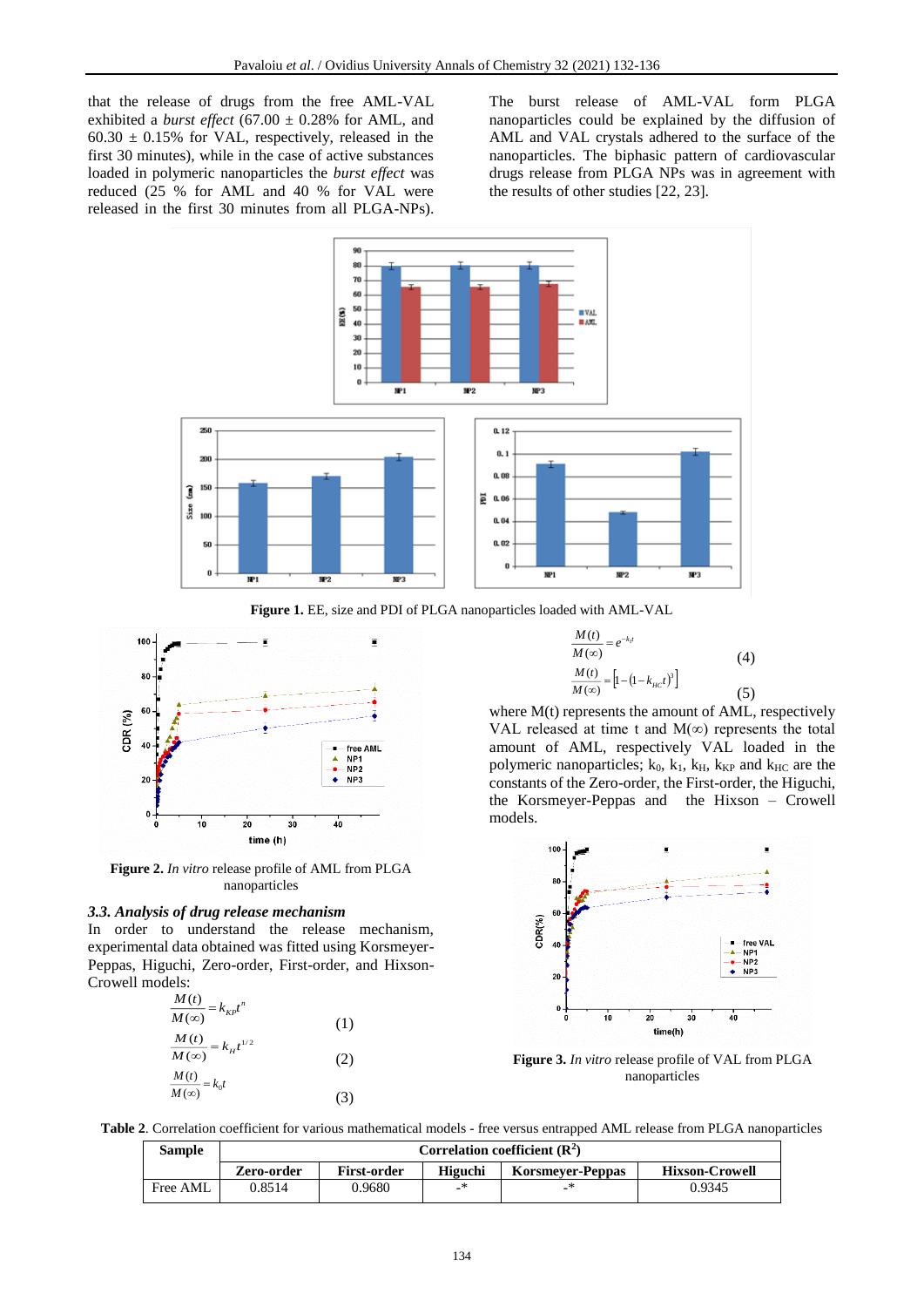that the release of drugs from the free AML-VAL exhibited a *burst effect* (67.00  $\pm$  0.28% for AML, and  $60.30 \pm 0.15\%$  for VAL, respectively, released in the first 30 minutes), while in the case of active substances loaded in polymeric nanoparticles the *burst effect* was reduced (25 % for AML and 40 % for VAL were released in the first 30 minutes from all PLGA-NPs).

The burst release of AML-VAL form PLGA nanoparticles could be explained by the diffusion of AML and VAL crystals adhered to the surface of the nanoparticles. The biphasic pattern of cardiovascular drugs release from PLGA NPs was in agreement with the results of other studies [22, 23].



**Figure 1.** EE, size and PDI of PLGA nanoparticles loaded with AML-VAL



**Figure 2.** *In vitro* release profile of AML from PLGA nanoparticles

#### *3.3. Analysis of drug release mechanism*

In order to understand the release mechanism, experimental data obtained was fitted using Korsmeyer-Peppas, Higuchi, Zero-order, First-order, and Hixson-Crowell models:

| $\frac{M(t)}{M(\infty)} = k_{\text{KP}}t^n$ |     |
|---------------------------------------------|-----|
|                                             | (1) |
| $\frac{M(t)}{M(\infty)} = k_H t^{1/2}$      |     |
|                                             | (2) |
| $\frac{M(t)}{M(\infty)} = k_0 t$            |     |
|                                             | (3) |

$$
\frac{M(t)}{M(\infty)} = e^{-k_1 t}
$$
\n
$$
\frac{M(t)}{M(\infty)} = \left[1 - (1 - k_{\text{HC}}t)^3\right]
$$
\n(4)

*M t*

where  $M(t)$  represents the amount of AML, respectively VAL released at time t and  $M(\infty)$  represents the total amount of AML, respectively VAL loaded in the polymeric nanoparticles;  $k_0$ ,  $k_1$ ,  $k_H$ ,  $k_{KP}$  and  $k_{HC}$  are the constants of the Zero-order, the First-order, the Higuchi, the Korsmeyer-Peppas and the Hixson – Crowell models.



**Figure 3.** *In vitro* release profile of VAL from PLGA nanoparticles

**Table 2**. Correlation coefficient for various mathematical models - free versus entrapped AML release from PLGA nanoparticles

| <b>Sample</b> | Correlation coefficient $(\mathbb{R}^2)$ |                    |         |                         |                       |
|---------------|------------------------------------------|--------------------|---------|-------------------------|-----------------------|
|               | Zero-order                               | <b>First-order</b> | Higuchi | <b>Korsmever-Peppas</b> | <b>Hixson-Crowell</b> |
| Free AML      | 0.8514                                   | 0.9680             |         |                         | 0.9345                |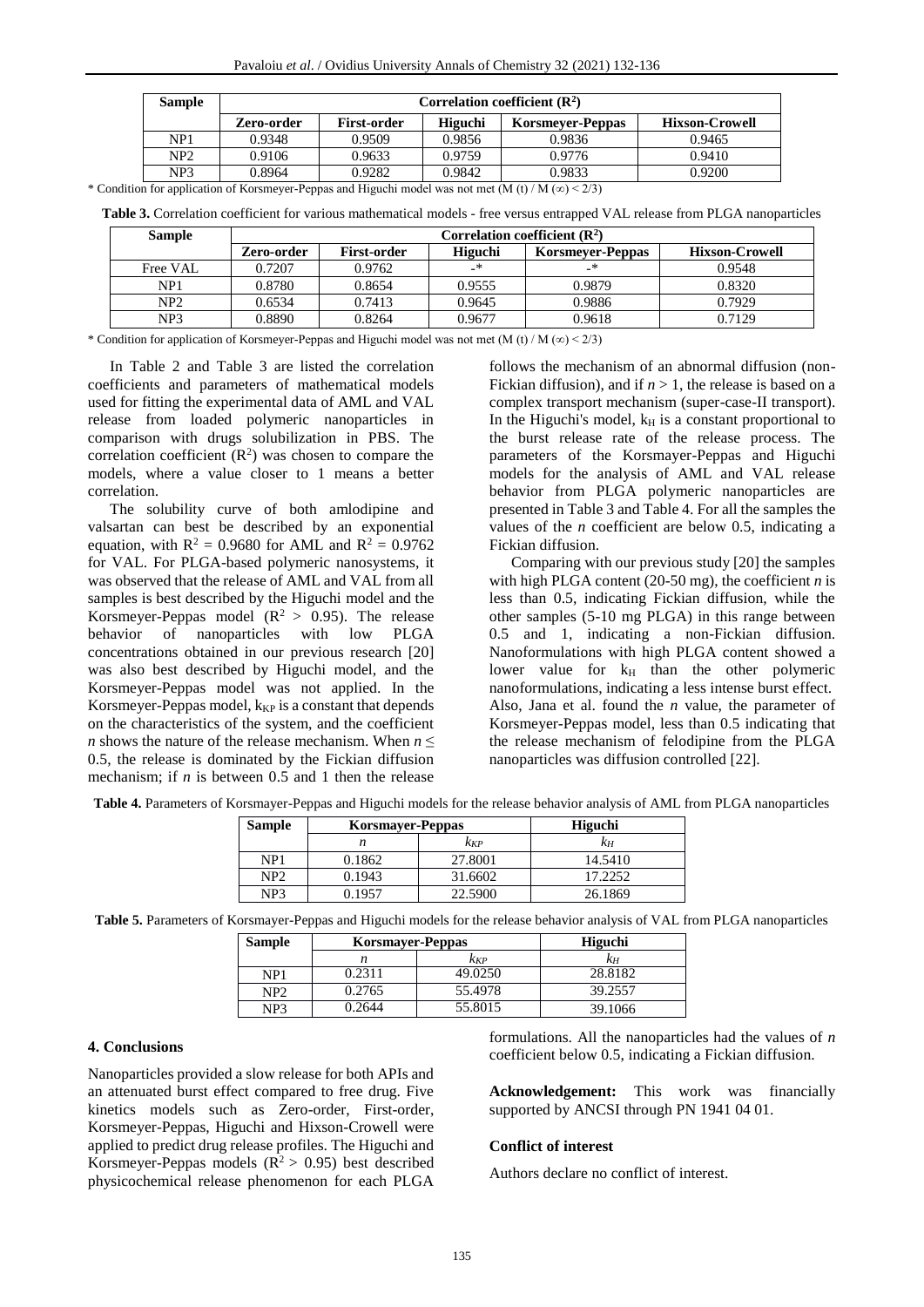| <b>Sample</b>   | Correlation coefficient $(R^2)$ |                    |         |                         |                       |
|-----------------|---------------------------------|--------------------|---------|-------------------------|-----------------------|
|                 | Zero-order                      | <b>First-order</b> | Higuchi | <b>Korsmeyer-Peppas</b> | <b>Hixson-Crowell</b> |
| NP1             | 0.9348                          | 0.9509             | 0.9856  | 0.9836                  | 0.9465                |
| NP <sub>2</sub> | 0.9106                          | 0.9633             | 0.9759  | 0.9776                  | 0.9410                |
| NP <sub>3</sub> | 0.8964                          | 0.9282             | 0.9842  | 0.9833                  | 0.9200                |

\* Condition for application of Korsmeyer-Peppas and Higuchi model was not met (M (t) / M (∞) < 2/3)

**Table 3.** Correlation coefficient for various mathematical models - free versus entrapped VAL release from PLGA nanoparticles

| <b>Sample</b>   | Correlation coefficient $(\mathbb{R}^2)$ |                    |         |                         |                       |
|-----------------|------------------------------------------|--------------------|---------|-------------------------|-----------------------|
|                 | Zero-order                               | <b>First-order</b> | Higuchi | <b>Korsmeyer-Peppas</b> | <b>Hixson-Crowell</b> |
| Free VAL        | 0.7207                                   | 0.9762             |         |                         | 0.9548                |
| NP1             | 0.8780                                   | 0.8654             | 0.9555  | 0.9879                  | 0.8320                |
| NP <sub>2</sub> | 0.6534                                   | 0.7413             | 0.9645  | 0.9886                  | 0.7929                |
| NP3             | 0.8890                                   | 0.8264             | 0.9677  | 0.9618                  | 0.7129                |

\* Condition for application of Korsmeyer-Peppas and Higuchi model was not met (M (t) / M (∞) < 2/3)

In Table 2 and Table 3 are listed the correlation coefficients and parameters of mathematical models used for fitting the experimental data of AML and VAL release from loaded polymeric nanoparticles in comparison with drugs solubilization in PBS. The correlation coefficient  $(R^2)$  was chosen to compare the models, where a value closer to 1 means a better correlation.

The solubility curve of both amlodipine and valsartan can best be described by an exponential equation, with  $R^2 = 0.9680$  for AML and  $R^2 = 0.9762$ for VAL. For PLGA-based polymeric nanosystems, it was observed that the release of AML and VAL from all samples is best described by the Higuchi model and the Korsmeyer-Peppas model ( $R^2 > 0.95$ ). The release<br>behavior of nanoparticles with low PLGA behavior of nanoparticles with low PLGA concentrations obtained in our previous research [20] was also best described by Higuchi model, and the Korsmeyer-Peppas model was not applied. In the Korsmeyer-Peppas model,  $k_{KP}$  is a constant that depends on the characteristics of the system, and the coefficient *n* shows the nature of the release mechanism. When *n* ≤ 0.5, the release is dominated by the Fickian diffusion mechanism; if *n* is between 0.5 and 1 then the release

follows the mechanism of an abnormal diffusion (non-Fickian diffusion), and if  $n > 1$ , the release is based on a complex transport mechanism (super-case-II transport). In the Higuchi's model,  $k_H$  is a constant proportional to the burst release rate of the release process. The parameters of the Korsmayer-Peppas and Higuchi models for the analysis of AML and VAL release behavior from PLGA polymeric nanoparticles are presented in Table 3 and Table 4. For all the samples the values of the *n* coefficient are below 0.5, indicating a Fickian diffusion.

Comparing with our previous study [20] the samples with high PLGA content (20-50 mg), the coefficient *n* is less than 0.5, indicating Fickian diffusion, while the other samples (5-10 mg PLGA) in this range between 0.5 and 1, indicating a non-Fickian diffusion. Nanoformulations with high PLGA content showed a lower value for  $k_H$  than the other polymeric nanoformulations, indicating a less intense burst effect. Also, Jana et al. found the *n* value, the parameter of Korsmeyer-Peppas model, less than 0.5 indicating that the release mechanism of felodipine from the PLGA nanoparticles was diffusion controlled [22].

| <b>Sample</b>   | <b>Korsmayer-Peppas</b> |         | <b>Higuchi</b> |
|-----------------|-------------------------|---------|----------------|
|                 | n                       | kkp     | KН             |
| NP <sub>1</sub> | 0.1862                  | 27.8001 | 14.5410        |
| NP2             | 0.1943                  | 31.6602 | 17.2252        |
| NP <sub>3</sub> | 0.1957                  | 22.5900 | 26.1869        |

**Table 4.** Parameters of Korsmayer-Peppas and Higuchi models for the release behavior analysis of AML from PLGA nanoparticles

**Table 5.** Parameters of Korsmayer-Peppas and Higuchi models for the release behavior analysis of VAL from PLGA nanoparticles

| <b>Sample</b> | <b>Korsmayer-Peppas</b> |         | <b>Higuchi</b> |
|---------------|-------------------------|---------|----------------|
|               | n                       | KKP     | KН             |
| NP1           | 0.2311                  | 49.0250 | 28.8182        |
| NP2           | 0.2765                  | 55.4978 | 39.2557        |
| NP3           | 0.2644                  | 55.8015 | 39.1066        |

# **4. Conclusions**

Nanoparticles provided a slow release for both APIs and an attenuated burst effect compared to free drug. Five kinetics models such as Zero-order, First-order, Korsmeyer-Peppas, Higuchi and Hixson-Crowell were applied to predict drug release profiles. The Higuchi and Korsmeyer-Peppas models ( $R^2 > 0.95$ ) best described physicochemical release phenomenon for each PLGA formulations. All the nanoparticles had the values of *n* coefficient below 0.5, indicating a Fickian diffusion.

**Acknowledgement:** This work was financially supported by ANCSI through PN 1941 04 01.

## **Conflict of interest**

Authors declare no conflict of interest.